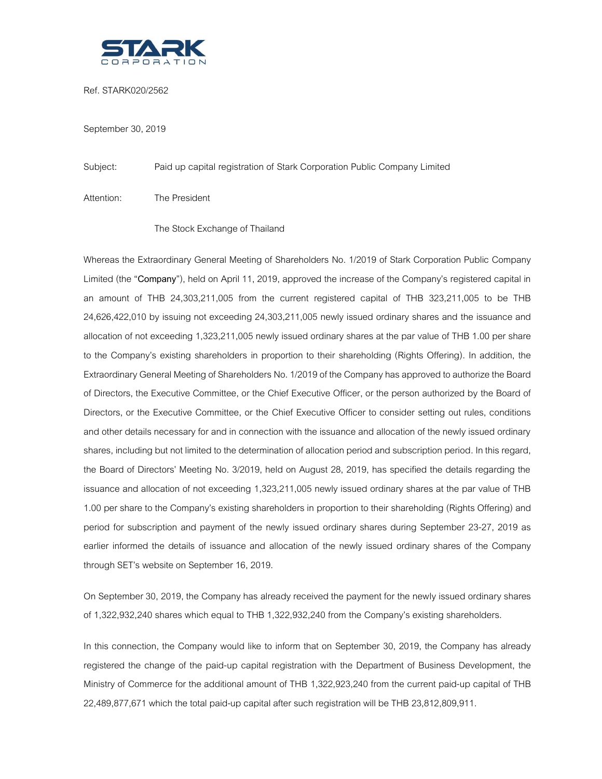

Ref. STARK020/2562

September 30, 2019

Subject: Paid up capital registration of Stark Corporation Public Company Limited

Attention: The President

## The Stock Exchange of Thailand

Whereas the Extraordinary General Meeting of Shareholders No. 1/2019 of Stark Corporation Public Company Limited (the "**Company**"), held on April 11, 2019, approved the increase of the Company's registered capital in an amount of THB 24,303,211,005 from the current registered capital of THB 323,211,005 to be THB 24,626,422,010 by issuing not exceeding 24,303,211,005 newly issued ordinary shares and the issuance and allocation of not exceeding 1,323,211,005 newly issued ordinary shares at the par value of THB 1.00 per share to the Company's existing shareholders in proportion to their shareholding (Rights Offering). In addition, the Extraordinary General Meeting of Shareholders No. 1/2019 of the Company has approved to authorize the Board of Directors, the Executive Committee, or the Chief Executive Officer, or the person authorized by the Board of Directors, or the Executive Committee, or the Chief Executive Officer to consider setting out rules, conditions and other details necessary for and in connection with the issuance and allocation of the newly issued ordinary shares, including but not limited to the determination of allocation period and subscription period. In this regard, the Board of Directors' Meeting No. 3/2019, held on August 28, 2019, has specified the details regarding the issuance and allocation of not exceeding 1,323,211,005 newly issued ordinary shares at the par value of THB 1.00 per share to the Company's existing shareholders in proportion to their shareholding (Rights Offering) and period for subscription and payment of the newly issued ordinary shares during September 23-27, 2019 as earlier informed the details of issuance and allocation of the newly issued ordinary shares of the Company through SET's website on September 16, 2019.

On September 30, 2019, the Company has already received the payment for the newly issued ordinary shares of 1,322,932,240 shares which equal to THB 1,322,932,240 from the Company's existing shareholders.

In this connection, the Company would like to inform that on September 30, 2019, the Company has already registered the change of the paid-up capital registration with the Department of Business Development, the Ministry of Commerce for the additional amount of THB 1,322,923,240 from the current paid-up capital of THB 22,489,877,671 which the total paid-up capital after such registration will be THB 23,812,809,911.